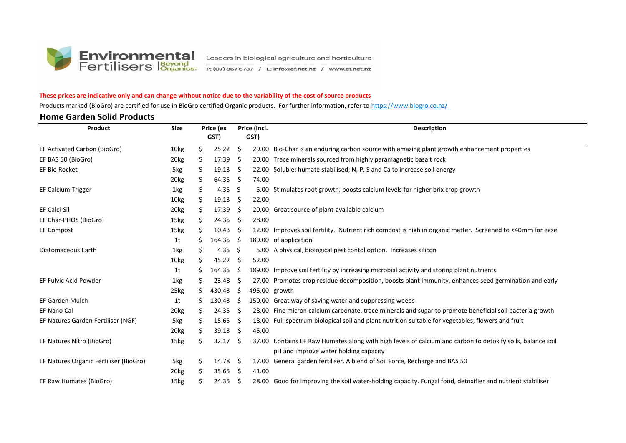

#### **These prices are indicative only and can change without notice due to the variability of the cost of source products**

Products marked (BioGro) are certified for use in BioGro certified Organic products. For further information, refer to https://www.biogro.co.nz/

#### **Home Garden Solid Products**

| Product                                | <b>Size</b>      |     | Price (ex         |      | Price (incl. | <b>Description</b>                                                                                         |
|----------------------------------------|------------------|-----|-------------------|------|--------------|------------------------------------------------------------------------------------------------------------|
|                                        |                  |     | GST)              |      | GST)         |                                                                                                            |
| EF Activated Carbon (BioGro)           | 10kg             | \$  | $25.22$ \$        |      |              | 29.00 Bio-Char is an enduring carbon source with amazing plant growth enhancement properties               |
| EF BAS 50 (BioGro)                     | 20kg             | \$  | 17.39             | - \$ |              | 20.00 Trace minerals sourced from highly paramagnetic basalt rock                                          |
| <b>EF Bio Rocket</b>                   | 5kg              | \$  | $19.13 \quad$ \$  |      |              | 22.00 Soluble; humate stabilised; N, P, S and Ca to increase soil energy                                   |
|                                        | 20 <sub>kg</sub> | \$  | $64.35$ \$        |      | 74.00        |                                                                                                            |
| EF Calcium Trigger                     | 1kg              | \$  | 4.35 \$           |      | 5.00         | Stimulates root growth, boosts calcium levels for higher brix crop growth                                  |
|                                        | 10kg             | \$. | $19.13 \quad $$   |      | 22.00        |                                                                                                            |
| <b>EF Calci-Sil</b>                    | 20 <sub>kg</sub> | \$. | $17.39 \quad$ \$  |      |              | 20.00 Great source of plant-available calcium                                                              |
| EF Char-PHOS (BioGro)                  | 15kg             | Ş.  | $24.35 \quad$ \$  |      | 28.00        |                                                                                                            |
| <b>EF Compost</b>                      | 15kg             | S   | $10.43 \quad$ \$  |      |              | 12.00 Improves soil fertility. Nutrient rich compost is high in organic matter. Screened to <40mm for ease |
|                                        | 1t               | s   | $164.35 \quad$ \$ |      |              | 189.00 of application.                                                                                     |
| Diatomaceous Earth                     | 1kg              | \$. | 4.35              | - \$ |              | 5.00 A physical, biological pest contol option. Increases silicon                                          |
|                                        | 10kg             | \$. | $45.22 \div$      |      | 52.00        |                                                                                                            |
|                                        | 1t               |     | 164.35            | - \$ |              | 189.00 Improve soil fertility by increasing microbial activity and storing plant nutrients                 |
| EF Fulvic Acid Powder                  | 1kg              | Ş.  | 23.48             | - \$ |              | 27.00 Promotes crop residue decomposition, boosts plant immunity, enhances seed germination and early      |
|                                        | 25kg             | S   | 430.43            | Ŝ.   |              | 495.00 growth                                                                                              |
| <b>EF Garden Mulch</b>                 | 1t               |     | 130.43            | -\$  |              | 150.00 Great way of saving water and suppressing weeds                                                     |
| <b>EF Nano Cal</b>                     | 20 <sub>kg</sub> | \$  | $24.35 \quad$ \$  |      |              | 28.00 Fine micron calcium carbonate, trace minerals and sugar to promote beneficial soil bacteria growth   |
| EF Natures Garden Fertiliser (NGF)     | 5kg              | \$. | 15.65             | - \$ |              | 18.00 Full-spectrum biological soil and plant nutrition suitable for vegetables, flowers and fruit         |
|                                        | 20 <sub>kg</sub> | \$. | $39.13 \quad $$   |      | 45.00        |                                                                                                            |
| EF Natures Nitro (BioGro)              | 15kg             | \$  | $32.17 \quad$ \$  |      |              | 37.00 Contains EF Raw Humates along with high levels of calcium and carbon to detoxify soils, balance soil |
|                                        |                  |     |                   |      |              | pH and improve water holding capacity                                                                      |
| EF Natures Organic Fertiliser (BioGro) | 5kg              | \$  | 14.78 \$          |      |              | 17.00 General garden fertiliser. A blend of Soil Force, Recharge and BAS 50                                |
|                                        | 20 <sub>kg</sub> |     | 35.65             | - \$ | 41.00        |                                                                                                            |
| EF Raw Humates (BioGro)                | 15kg             |     | $24.35$ \$        |      |              | 28.00 Good for improving the soil water-holding capacity. Fungal food, detoxifier and nutrient stabiliser  |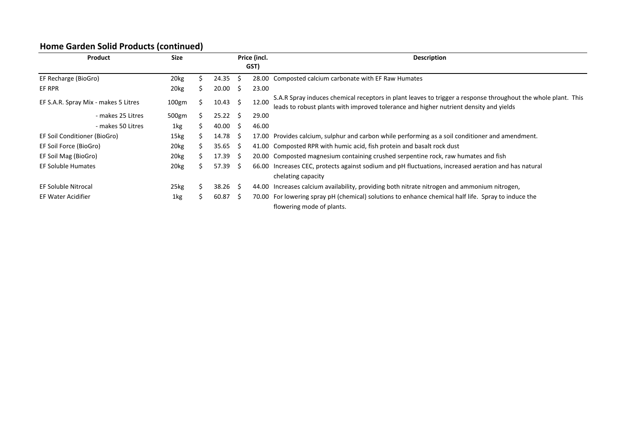## **Home Garden Solid Products (continued)**

| <b>Product</b>                       | <b>Size</b>       |    |       |     | Price (incl.<br>GST) | <b>Description</b>                                                                                                                                                                                     |
|--------------------------------------|-------------------|----|-------|-----|----------------------|--------------------------------------------------------------------------------------------------------------------------------------------------------------------------------------------------------|
| EF Recharge (BioGro)                 | 20 <sub>kg</sub>  | ↘  | 24.35 | Ŝ.  | 28.00                | Composted calcium carbonate with EF Raw Humates                                                                                                                                                        |
| EF RPR                               | 20 <sub>kg</sub>  | S  | 20.00 | 5   | 23.00                |                                                                                                                                                                                                        |
| EF S.A.R. Spray Mix - makes 5 Litres | 100 <sub>gm</sub> |    | 10.43 | S.  | 12.00                | S.A.R Spray induces chemical receptors in plant leaves to trigger a response throughout the whole plant. This<br>leads to robust plants with improved tolerance and higher nutrient density and yields |
| - makes 25 Litres                    | 500gm             | S  | 25.22 | -S  | 29.00                |                                                                                                                                                                                                        |
| - makes 50 Litres                    | 1kg               |    | 40.00 | S.  | 46.00                |                                                                                                                                                                                                        |
| EF Soil Conditioner (BioGro)         | 15kg              | S  | 14.78 | -S  | 17.00                | Provides calcium, sulphur and carbon while performing as a soil conditioner and amendment.                                                                                                             |
| EF Soil Force (BioGro)               | 20 <sub>kg</sub>  | Ś. | 35.65 | S.  |                      | 41.00 Composted RPR with humic acid, fish protein and basalt rock dust                                                                                                                                 |
| EF Soil Mag (BioGro)                 | 20 <sub>kg</sub>  | S. | 17.39 | -S  |                      | 20.00 Composted magnesium containing crushed serpentine rock, raw humates and fish                                                                                                                     |
| <b>EF Soluble Humates</b>            | 20 <sub>kg</sub>  | S  | 57.39 | S.  |                      | 66.00 Increases CEC, protects against sodium and pH fluctuations, increased aeration and has natural                                                                                                   |
|                                      |                   |    |       |     |                      | chelating capacity                                                                                                                                                                                     |
| EF Soluble Nitrocal                  | 25kg              | ↘  | 38.26 | - S | 44.00                | Increases calcium availability, providing both nitrate nitrogen and ammonium nitrogen,                                                                                                                 |
| <b>EF Water Acidifier</b>            | 1kg               | ς  | 60.87 | Ŝ.  |                      | 70.00 For lowering spray pH (chemical) solutions to enhance chemical half life. Spray to induce the<br>flowering mode of plants.                                                                       |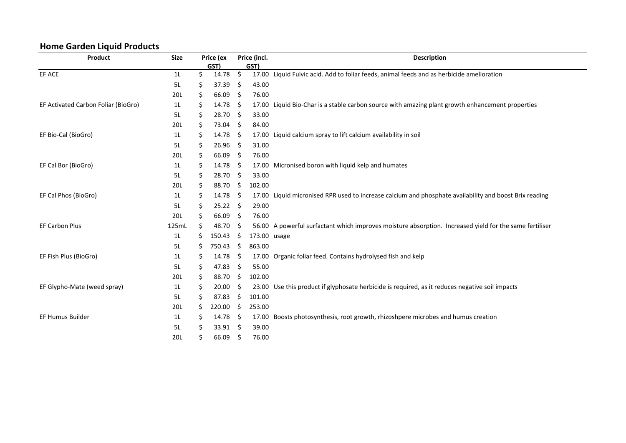## **Home Garden Liquid Products**

| Product                             | <b>Size</b>    | Price (ex |                     | Price (incl. |              | <b>Description</b>                                                                                      |
|-------------------------------------|----------------|-----------|---------------------|--------------|--------------|---------------------------------------------------------------------------------------------------------|
|                                     |                |           | GST)                |              | GST)         |                                                                                                         |
| EF ACE                              | 1 <sub>L</sub> | \$        | 14.78               | \$           |              | 17.00 Liquid Fulvic acid. Add to foliar feeds, animal feeds and as herbicide amelioration               |
|                                     | 5L             | \$        | 37.39               | \$           | 43.00        |                                                                                                         |
|                                     | 20L            | \$        | 66.09               | \$           | 76.00        |                                                                                                         |
| EF Activated Carbon Foliar (BioGro) | 1 <sub>L</sub> | \$        | 14.78               | \$           |              | 17.00 Liquid Bio-Char is a stable carbon source with amazing plant growth enhancement properties        |
|                                     | 5L             | \$        | 28.70               | Ŝ.           | 33.00        |                                                                                                         |
|                                     | 20L            | \$        | 73.04 \$            |              | 84.00        |                                                                                                         |
| EF Bio-Cal (BioGro)                 | 1 <sub>L</sub> | \$        | $14.78 \pm 5$       |              |              | 17.00 Liquid calcium spray to lift calcium availability in soil                                         |
|                                     | 5L             | \$        | 26.96               | \$           | 31.00        |                                                                                                         |
|                                     | 20L            | \$        | 66.09               | \$           | 76.00        |                                                                                                         |
| EF Cal Bor (BioGro)                 | 1 <sub>L</sub> | \$        | 14.78               | S.           |              | 17.00 Micronised boron with liquid kelp and humates                                                     |
|                                     | 5L             | \$        | 28.70               | \$           | 33.00        |                                                                                                         |
|                                     | 20L            | \$        | 88.70               | - \$         | 102.00       |                                                                                                         |
| EF Cal Phos (BioGro)                | 1 <sub>L</sub> | \$        | $14.78 \div$        |              |              | 17.00 Liquid micronised RPR used to increase calcium and phosphate availability and boost Brix reading  |
|                                     | 5L             | \$        | $25.22 \quad$ \$    |              | 29.00        |                                                                                                         |
|                                     | 20L            | \$        | 66.09               | Ŝ.           | 76.00        |                                                                                                         |
| <b>EF Carbon Plus</b>               | 125mL          | \$        | 48.70               | \$           |              | 56.00 A powerful surfactant which improves moisture absorption. Increased yield for the same fertiliser |
|                                     | 1 <sub>L</sub> | \$        | 150.43              | \$.          | 173.00 usage |                                                                                                         |
|                                     | 5L             | \$        | 750.43              | - \$         | 863.00       |                                                                                                         |
| EF Fish Plus (BioGro)               | 1 <sub>L</sub> | \$.       | $14.78 \; \text{S}$ |              |              | 17.00 Organic foliar feed. Contains hydrolysed fish and kelp                                            |
|                                     | 5L             | \$        | 47.83               | \$           | 55.00        |                                                                                                         |
|                                     | 20L            | \$        | 88.70               | \$           | 102.00       |                                                                                                         |
| EF Glypho-Mate (weed spray)         | 1 <sub>L</sub> | \$        | 20.00               | Ŝ.           |              | 23.00 Use this product if glyphosate herbicide is required, as it reduces negative soil impacts         |
|                                     | 5L             | \$        | 87.83               | \$           | 101.00       |                                                                                                         |
|                                     | 20L            | \$        | 220.00              | \$           | 253.00       |                                                                                                         |
| <b>EF Humus Builder</b>             | 1 <sub>L</sub> | \$        | $14.78 \quad$ \$    |              |              | 17.00 Boosts photosynthesis, root growth, rhizoshpere microbes and humus creation                       |
|                                     | 5L             | \$        | $33.91 \quad $$     |              | 39.00        |                                                                                                         |
|                                     | 20L            | \$        | $66.09$ \$          |              | 76.00        |                                                                                                         |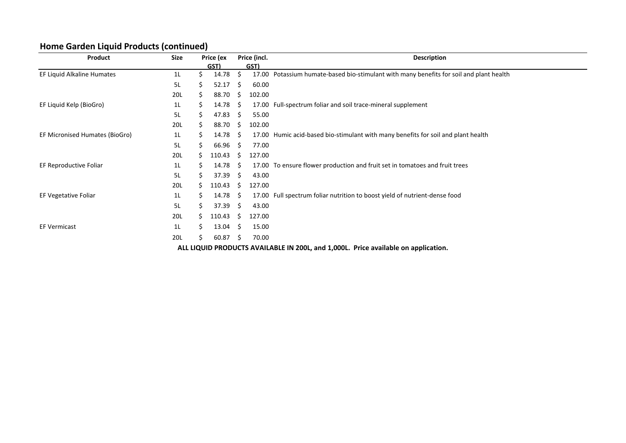# **Home Garden Liquid Products (continued)**

| Product                        | <b>Size</b> |    | Price (ex |     | Price (incl. | <b>Description</b>                                                                      |
|--------------------------------|-------------|----|-----------|-----|--------------|-----------------------------------------------------------------------------------------|
|                                |             |    | GST)      |     | GST)         |                                                                                         |
| EF Liquid Alkaline Humates     | 1L          | Ś. | 14.78     | Ś   |              | 17.00 Potassium humate-based bio-stimulant with many benefits for soil and plant health |
|                                | 5L          | S  | 52.17     | -S  | 60.00        |                                                                                         |
|                                | 20L         | \$ | 88.70     | -S  | 102.00       |                                                                                         |
| EF Liquid Kelp (BioGro)        | 1L          | \$ | 14.78     | -S  | 17.00        | Full-spectrum foliar and soil trace-mineral supplement                                  |
|                                | 5L          | \$ | 47.83     | Ŝ.  | 55.00        |                                                                                         |
|                                | 20L         | Ś. | 88.70     | -S  | 102.00       |                                                                                         |
| EF Micronised Humates (BioGro) | 1L          | \$ | 14.78     | -S  |              | 17.00 Humic acid-based bio-stimulant with many benefits for soil and plant health       |
|                                | 5L          | Ś  | 66.96     | -S  | 77.00        |                                                                                         |
|                                | 20L         | S  | 110.43    | Ŝ.  | 127.00       |                                                                                         |
| EF Reproductive Foliar         | 1L          | S  | 14.78     | -S  |              | 17.00 To ensure flower production and fruit set in tomatoes and fruit trees             |
|                                | 5L          | S  | 37.39     | S.  | 43.00        |                                                                                         |
|                                | 20L         | S  | 110.43    | S   | 127.00       |                                                                                         |
| EF Vegetative Foliar           | 1L          | \$ | 14.78     | -S  | 17.00        | Full spectrum foliar nutrition to boost yield of nutrient-dense food                    |
|                                | 5L          | Ś. | 37.39     | S.  | 43.00        |                                                                                         |
|                                | 20L         | Ś. | 110.43    | S.  | 127.00       |                                                                                         |
| <b>EF Vermicast</b>            | 1L          | Ś. | 13.04     | -S  | 15.00        |                                                                                         |
|                                | 20L         | Ś  | 60.87     | - S | 70.00        |                                                                                         |
|                                |             |    |           |     |              | ALL LIQUID PRODUCTS AVAILABLE IN 200L, and 1,000L. Price available on application.      |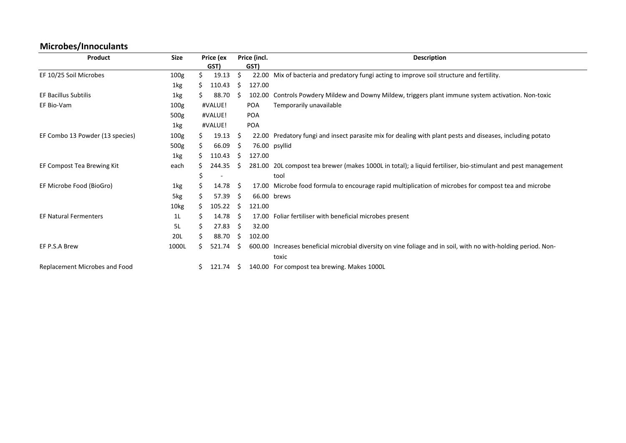# **Microbes/Innoculants**

| Product                         | Size             |   | Price (ex<br>GST) |   | Price (incl.<br>GST) | <b>Description</b>                                                                                             |
|---------------------------------|------------------|---|-------------------|---|----------------------|----------------------------------------------------------------------------------------------------------------|
| EF 10/25 Soil Microbes          | 100 <sub>g</sub> |   | 19.13             | Ś |                      | 22.00 Mix of bacteria and predatory fungi acting to improve soil structure and fertility.                      |
|                                 | 1kg              |   | 110.43            | S | 127.00               |                                                                                                                |
| <b>EF Bacillus Subtilis</b>     | 1kg              |   | 88.70             |   | 102.00               | Controls Powdery Mildew and Downy Mildew, triggers plant immune system activation. Non-toxic                   |
| EF Bio-Vam                      | 100 <sub>g</sub> |   | #VALUE!           |   | <b>POA</b>           | Temporarily unavailable                                                                                        |
|                                 | 500g             |   | #VALUE!           |   | <b>POA</b>           |                                                                                                                |
|                                 | 1kg              |   | #VALUE!           |   | <b>POA</b>           |                                                                                                                |
| EF Combo 13 Powder (13 species) | 100 <sub>g</sub> | S | 19.13             | S | 22.00                | Predatory fungi and insect parasite mix for dealing with plant pests and diseases, including potato            |
|                                 | 500g             |   | 66.09             | S |                      | 76.00 psyllid                                                                                                  |
|                                 | 1kg              |   | 110.43            | S | 127.00               |                                                                                                                |
| EF Compost Tea Brewing Kit      | each             |   | 244.35            |   |                      | 281.00 20L compost tea brewer (makes 1000L in total); a liquid fertiliser, bio-stimulant and pest management   |
|                                 |                  |   |                   |   |                      | tool                                                                                                           |
| EF Microbe Food (BioGro)        | 1kg              |   | 14.78             | S |                      | 17.00 Microbe food formula to encourage rapid multiplication of microbes for compost tea and microbe           |
|                                 | 5kg              |   | 57.39             | S |                      | 66.00 brews                                                                                                    |
|                                 | 10kg             | S | 105.22            | S | 121.00               |                                                                                                                |
| <b>EF Natural Fermenters</b>    | 1L               |   | 14.78             | S |                      | 17.00 Foliar fertiliser with beneficial microbes present                                                       |
|                                 | 5L               | S | 27.83             | S | 32.00                |                                                                                                                |
|                                 | 20L              |   | 88.70             | S | 102.00               |                                                                                                                |
| EF P.S.A Brew                   | 1000L            | S | 521.74            | S |                      | 600.00 Increases beneficial microbial diversity on vine foliage and in soil, with no with-holding period. Non- |
|                                 |                  |   |                   |   |                      | toxic                                                                                                          |
| Replacement Microbes and Food   |                  | S | 121.74            | S |                      | 140.00 For compost tea brewing. Makes 1000L                                                                    |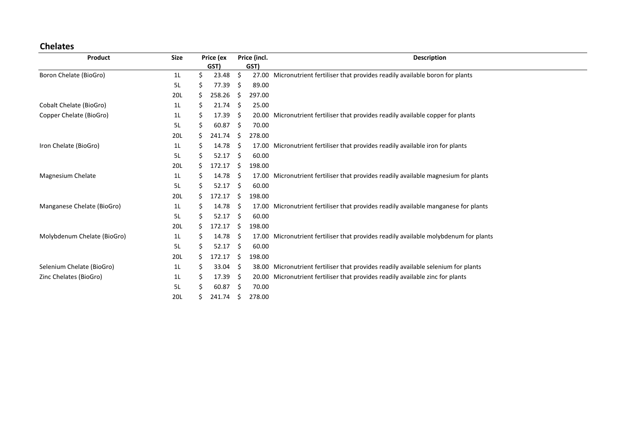## **Chelates**

| Product                     | <b>Size</b>    |    | Price (ex |     | Price (incl. | <b>Description</b>                                                                   |
|-----------------------------|----------------|----|-----------|-----|--------------|--------------------------------------------------------------------------------------|
|                             |                |    | GST)      |     | GST)         |                                                                                      |
| Boron Chelate (BioGro)      | 1 <sub>L</sub> | \$ | 23.48     | \$  |              | 27.00 Micronutrient fertiliser that provides readily available boron for plants      |
|                             | 5L             | S  | 77.39     | \$  | 89.00        |                                                                                      |
|                             | 20L            | S  | 258.26    | \$  | 297.00       |                                                                                      |
| Cobalt Chelate (BioGro)     | 1 <sub>L</sub> | \$ | 21.74     | \$  | 25.00        |                                                                                      |
| Copper Chelate (BioGro)     | 1 <sub>L</sub> | \$ | 17.39     | \$  | 20.00        | Micronutrient fertiliser that provides readily available copper for plants           |
|                             | 5L             | \$ | 60.87     | \$  | 70.00        |                                                                                      |
|                             | 20L            | S. | 241.74    | \$  | 278.00       |                                                                                      |
| Iron Chelate (BioGro)       | 1 <sub>L</sub> | \$ | 14.78     | \$  |              | 17.00 Micronutrient fertiliser that provides readily available iron for plants       |
|                             | 5L             | Ś. | 52.17     | Ŝ.  | 60.00        |                                                                                      |
|                             | 20L            | Ś. | 172.17    | \$  | 198.00       |                                                                                      |
| Magnesium Chelate           | 1L             | S  | 14.78     | -S  |              | 17.00 Micronutrient fertiliser that provides readily available magnesium for plants  |
|                             | 5L             | \$ | 52.17     | \$  | 60.00        |                                                                                      |
|                             | 20L            | Ś. | 172.17    | S.  | 198.00       |                                                                                      |
| Manganese Chelate (BioGro)  | 1 <sub>L</sub> | S  | 14.78     | -S  |              | 17.00 Micronutrient fertiliser that provides readily available manganese for plants  |
|                             | 5L             | S  | 52.17     | Ŝ.  | 60.00        |                                                                                      |
|                             | 20L            | Ś. | 172.17    | Ŝ.  | 198.00       |                                                                                      |
| Molybdenum Chelate (BioGro) | 1 <sub>L</sub> | \$ | 14.78     | -S  |              | 17.00 Micronutrient fertiliser that provides readily available molybdenum for plants |
|                             | 5L             | \$ | 52.17     | Ŝ.  | 60.00        |                                                                                      |
|                             | 20L            | S  | 172.17    | \$. | 198.00       |                                                                                      |
| Selenium Chelate (BioGro)   | 1 <sub>L</sub> | \$ | 33.04     | -S  |              | 38.00 Micronutrient fertiliser that provides readily available selenium for plants   |
| Zinc Chelates (BioGro)      | 1 <sub>L</sub> | S  | 17.39     | -S  |              | 20.00 Micronutrient fertiliser that provides readily available zinc for plants       |
|                             | 5L             | S  | 60.87     | \$  | 70.00        |                                                                                      |
|                             | 20L            | S  | 241.74    | S.  | 278.00       |                                                                                      |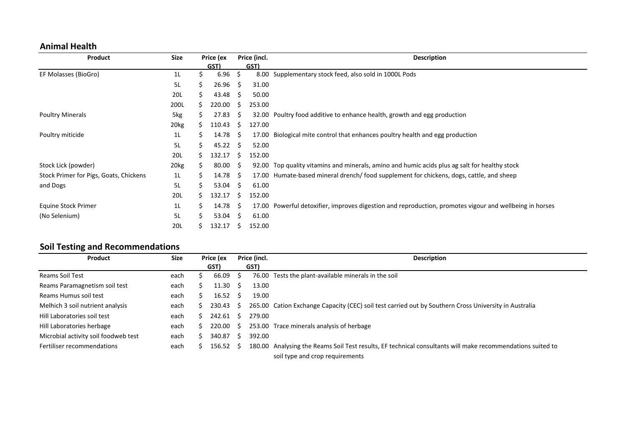#### **Animal Health**

| Product                                | Size             |    | Price (ex |    | Price (incl. | <b>Description</b>                                                                                |
|----------------------------------------|------------------|----|-----------|----|--------------|---------------------------------------------------------------------------------------------------|
|                                        |                  |    | GST)      |    | GST)         |                                                                                                   |
| EF Molasses (BioGro)                   | 1 <sub>L</sub>   |    | 6.96      | \$ | 8.00         | Supplementary stock feed, also sold in 1000L Pods                                                 |
|                                        | 5L               | S  | 26.96     | S  | 31.00        |                                                                                                   |
|                                        | 20L              | S. | 43.48     | S. | 50.00        |                                                                                                   |
|                                        | 200L             | S. | 220.00    | S  | 253.00       |                                                                                                   |
| <b>Poultry Minerals</b>                | 5kg              | S  | 27.83     | S  | 32.00        | Poultry food additive to enhance health, growth and egg production                                |
|                                        | 20 <sub>kg</sub> | S. | 110.43    | S  | 127.00       |                                                                                                   |
| Poultry miticide                       | 1 <sub>L</sub>   | S. | 14.78     | S  | 17.00        | Biological mite control that enhances poultry health and egg production                           |
|                                        | 5L               | S  | 45.22     | S. | 52.00        |                                                                                                   |
|                                        | 20L              | S. | 132.17    | S. | 152.00       |                                                                                                   |
| Stock Lick (powder)                    | 20 <sub>kg</sub> | S. | 80.00     | S  | 92.00        | Top quality vitamins and minerals, amino and humic acids plus ag salt for healthy stock           |
| Stock Primer for Pigs, Goats, Chickens | 1L               | S  | 14.78     | -S | 17.00        | Humate-based mineral drench/food supplement for chickens, dogs, cattle, and sheep                 |
| and Dogs                               | 5L               | S. | 53.04     | S. | 61.00        |                                                                                                   |
|                                        | 20L              | S. | 132.17    | S  | 152.00       |                                                                                                   |
| Equine Stock Primer                    | 1 <sub>L</sub>   | S. | 14.78     | S  | 17.00        | Powerful detoxifier, improves digestion and reproduction, promotes vigour and wellbeing in horses |
| (No Selenium)                          | 5L               | Š. | 53.04     | S  | 61.00        |                                                                                                   |
|                                        | 20L              |    | 132.17    | S  | 152.00       |                                                                                                   |

# **Soil Testing and Recommendations**

| Product                              | Size | Price (ex |          | Price (incl. |        | <b>Description</b>                                                                                                                            |
|--------------------------------------|------|-----------|----------|--------------|--------|-----------------------------------------------------------------------------------------------------------------------------------------------|
|                                      |      |           | GST)     |              | GST)   |                                                                                                                                               |
| Reams Soil Test                      | each |           | 66.09    | -S           |        | 76.00 Tests the plant-available minerals in the soil                                                                                          |
| Reams Paramagnetism soil test        | each |           | 11.30    | -S           | 13.00  |                                                                                                                                               |
| Reams Humus soil test                | each |           | 16.52    | S.           | 19.00  |                                                                                                                                               |
| Melhich 3 soil nutrient analysis     | each |           | 230.43   | -S           |        | 265.00 Cation Exchange Capacity (CEC) soil test carried out by Southern Cross University in Australia                                         |
| Hill Laboratories soil test          | each |           | 242.61   | <sub>S</sub> | 279.00 |                                                                                                                                               |
| Hill Laboratories herbage            | each |           | 220.00   | - S          |        | 253.00 Trace minerals analysis of herbage                                                                                                     |
| Microbial activity soil foodweb test | each | S.        | 340.87   | S.           | 392.00 |                                                                                                                                               |
| Fertiliser recommendations           | each |           | 156.52 S |              |        | 180.00 Analysing the Reams Soil Test results, EF technical consultants will make recommendations suited to<br>soil type and crop requirements |